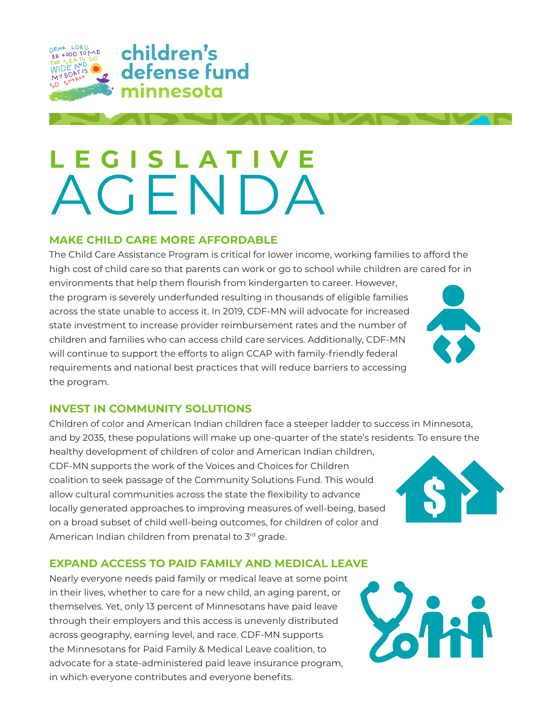

# **LEGISLATIVE** AGENDA

## **MAKE CHILD CARE MORE AFFORDABLE**

The Child Care Assistance Program is critical for lower income, working families to afford the high cost of child care so that parents can work or go to school while children are cared for in

environments that help them flourish from kindergarten to career. However, the program is severely underfunded resulting in thousands of eligible families across the state unable to access it. In 2019, CDF-MN will advocate for increased state investment to increase provider reimbursement rates and the number of children and families who can access child care services. Additionally, CDF-MN will continue to support the efforts to align CCAP with family-friendly federal requirements and national best practices that will reduce barriers to accessing the program.

### **INVEST IN COMMUNITY SOLUTIONS**

Children of color and American Indian children face a steeper ladder to success in Minnesota, and by 2035, these populations will make up one-quarter of the state's residents. To ensure the

healthy development of children of color and American Indian children, CDF-MN supports the work of the Voices and Choices for Children coalition to seek passage of the Community Solutions Fund. This would allow cultural communities across the state the flexibility to advance locally generated approaches to improving measures of well-being, based on a broad subset of child well-being outcomes, for children of color and American Indian children from prenatal to 3rd grade.

# **EXPAND ACCESS TO PAID FAMILY AND MEDICAL LEAVE**

Nearly everyone needs paid family or medical leave at some point in their lives, whether to care for a new child, an aging parent, or themselves. Yet, only 13 percent of Minnesotans have paid leave through their employers and this access is unevenly distributed across geography, earning level, and race. CDF-MN supports the Minnesotans for Paid Family & Medical Leave coalition, to advocate for a state-administered paid leave insurance program, in which everyone contributes and everyone benefits.